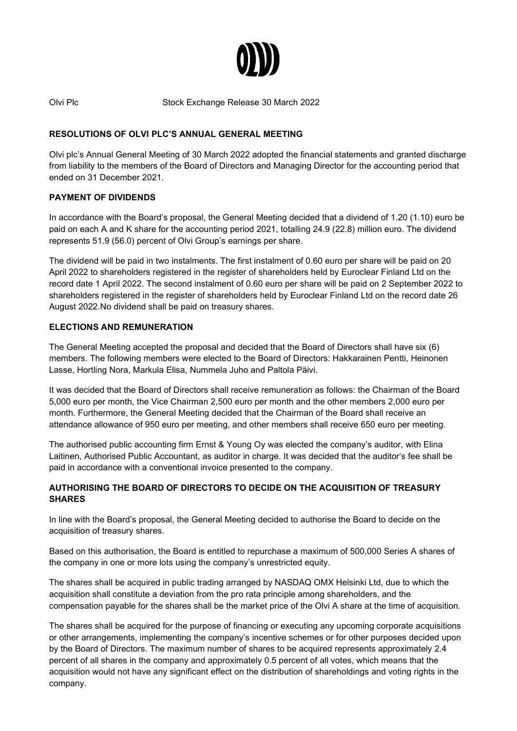

Olvi Plc Stock Exchange Release 30 March 2022

# **RESOLUTIONS OF OLVI PLC'S ANNUAL GENERAL MEETING**

Olvi plc's Annual General Meeting of 30 March 2022 adopted the financial statements and granted discharge from liability to the members of the Board of Directors and Managing Director for the accounting period that ended on 31 December 2021.

### **PAYMENT OF DIVIDENDS**

In accordance with the Board's proposal, the General Meeting decided that a dividend of 1.20 (1.10) euro be paid on each A and K share for the accounting period 2021, totalling 24.9 (22.8) million euro. The dividend represents 51.9 (56.0) percent of Olvi Group's earnings per share.

The dividend will be paid in two instalments. The first instalment of 0.60 euro per share will be paid on 20 April 2022 to shareholders registered in the register of shareholders held by Euroclear Finland Ltd on the record date 1 April 2022. The second instalment of 0.60 euro per share will be paid on 2 September 2022 to shareholders registered in the register of shareholders held by Euroclear Finland Ltd on the record date 26 August 2022.No dividend shall be paid on treasury shares.

# **ELECTIONS AND REMUNERATION**

The General Meeting accepted the proposal and decided that the Board of Directors shall have six (6) members. The following members were elected to the Board of Directors: Hakkarainen Pentti, Heinonen Lasse, Hortling Nora, Markula Elisa, Nummela Juho and Paltola Päivi.

It was decided that the Board of Directors shall receive remuneration as follows: the Chairman of the Board 5,000 euro per month, the Vice Chairman 2,500 euro per month and the other members 2,000 euro per month. Furthermore, the General Meeting decided that the Chairman of the Board shall receive an attendance allowance of 950 euro per meeting, and other members shall receive 650 euro per meeting.

The authorised public accounting firm Ernst & Young Oy was elected the company's auditor, with Elina Laitinen, Authorised Public Accountant, as auditor in charge. It was decided that the auditor's fee shall be paid in accordance with a conventional invoice presented to the company.

# **AUTHORISING THE BOARD OF DIRECTORS TO DECIDE ON THE ACQUISITION OF TREASURY SHARES**

In line with the Board's proposal, the General Meeting decided to authorise the Board to decide on the acquisition of treasury shares.

Based on this authorisation, the Board is entitled to repurchase a maximum of 500,000 Series A shares of the company in one or more lots using the company's unrestricted equity.

The shares shall be acquired in public trading arranged by NASDAQ OMX Helsinki Ltd, due to which the acquisition shall constitute a deviation from the pro rata principle among shareholders, and the compensation payable for the shares shall be the market price of the Olvi A share at the time of acquisition.

The shares shall be acquired for the purpose of financing or executing any upcoming corporate acquisitions or other arrangements, implementing the company's incentive schemes or for other purposes decided upon by the Board of Directors. The maximum number of shares to be acquired represents approximately 2.4 percent of all shares in the company and approximately 0.5 percent of all votes, which means that the acquisition would not have any significant effect on the distribution of shareholdings and voting rights in the company.